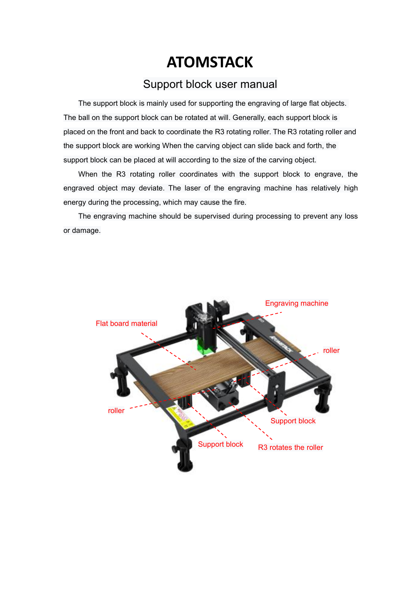## **ATOMSTACK**

## Support block user manual

The support block is mainly used for supporting the engraving of large flat objects. The ball on the support block can be rotated at will. Generally, each support block is placed on the front and back to coordinate the R3 rotating roller. The R3 rotating roller and the support block are working When the carving object can slide back and forth, the support block can be placed at will according to the size of the carving object.

When the R3 rotating roller coordinates with the support block to engrave, the engraved object may deviate. The laser of the engraving machine has relatively high energy during the processing, which may cause the fire.

The engraving machine should be supervised during processing to prevent any loss or damage.